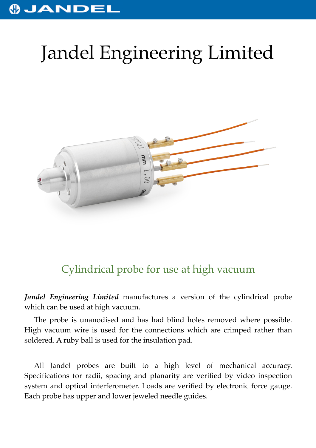## **OJANDEI**

## Jandel Engineering Limited



## Cylindrical probe for use at high vacuum

*Jandel Engineering Limited* manufactures a version of the cylindrical probe which can be used at high vacuum.

The probe is unanodised and has had blind holes removed where possible. High vacuum wire is used for the connections which are crimped rather than soldered. A ruby ball is used for the insulation pad.

All Jandel probes are built to a high level of mechanical accuracy. Specifications for radii, spacing and planarity are verified by video inspection system and optical interferometer. Loads are verified by electronic force gauge. Each probe has upper and lower jeweled needle guides.